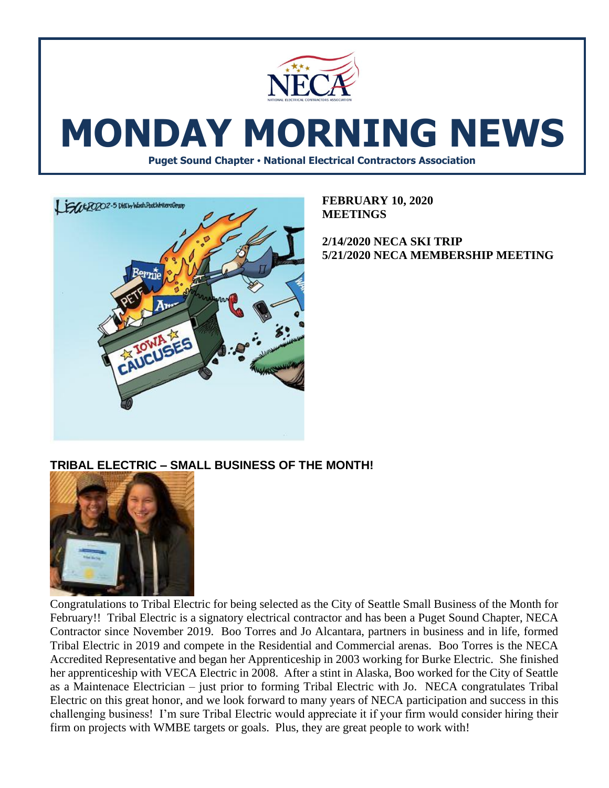

# **MONDAY MORNING NEWS**

**Puget Sound Chapter • National Electrical Contractors Association**



**FEBRUARY 10, 2020 MEETINGS**

**2/14/2020 NECA SKI TRIP 5/21/2020 NECA MEMBERSHIP MEETING** 

## **TRIBAL ELECTRIC – SMALL BUSINESS OF THE MONTH!**



Congratulations to Tribal Electric for being selected as the City of Seattle Small Business of the Month for February!! Tribal Electric is a signatory electrical contractor and has been a Puget Sound Chapter, NECA Contractor since November 2019. Boo Torres and Jo Alcantara, partners in business and in life, formed Tribal Electric in 2019 and compete in the Residential and Commercial arenas. Boo Torres is the NECA Accredited Representative and began her Apprenticeship in 2003 working for Burke Electric. She finished her apprenticeship with VECA Electric in 2008. After a stint in Alaska, Boo worked for the City of Seattle as a Maintenace Electrician – just prior to forming Tribal Electric with Jo. NECA congratulates Tribal Electric on this great honor, and we look forward to many years of NECA participation and success in this challenging business! I'm sure Tribal Electric would appreciate it if your firm would consider hiring their firm on projects with WMBE targets or goals. Plus, they are great people to work with!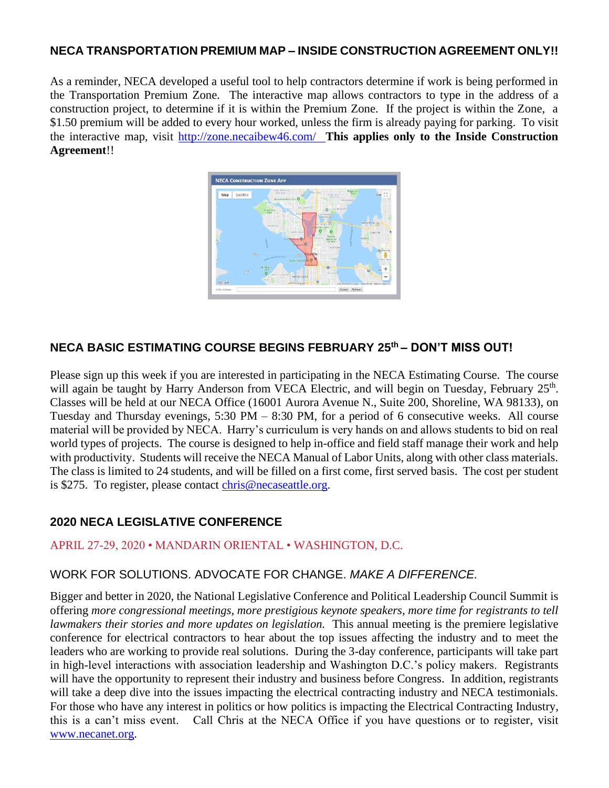#### **NECA TRANSPORTATION PREMIUM MAP – INSIDE CONSTRUCTION AGREEMENT ONLY!!**

As a reminder, NECA developed a useful tool to help contractors determine if work is being performed in the Transportation Premium Zone. The interactive map allows contractors to type in the address of a construction project, to determine if it is within the Premium Zone. If the project is within the Zone, a \$1.50 premium will be added to every hour worked, unless the firm is already paying for parking. To visit the interactive map, visit<http://zone.necaibew46.com/>**This applies only to the Inside Construction Agreement**!!



## **NECA BASIC ESTIMATING COURSE BEGINS FEBRUARY 25th – DON'T MISS OUT!**

Please sign up this week if you are interested in participating in the NECA Estimating Course. The course will again be taught by Harry Anderson from VECA Electric, and will begin on Tuesday, February 25<sup>th</sup>. Classes will be held at our NECA Office (16001 Aurora Avenue N., Suite 200, Shoreline, WA 98133), on Tuesday and Thursday evenings, 5:30 PM – 8:30 PM, for a period of 6 consecutive weeks. All course material will be provided by NECA. Harry's curriculum is very hands on and allows students to bid on real world types of projects. The course is designed to help in-office and field staff manage their work and help with productivity. Students will receive the NECA Manual of Labor Units, along with other class materials. The class is limited to 24 students, and will be filled on a first come, first served basis. The cost per student is \$275. To register, please contact [chris@necaseattle.org.](mailto:chris@necaseattle.org)

## **2020 NECA LEGISLATIVE CONFERENCE**

#### APRIL 27-29, 2020 • MANDARIN ORIENTAL • WASHINGTON, D.C.

#### WORK FOR SOLUTIONS. ADVOCATE FOR CHANGE. *MAKE A DIFFERENCE.*

Bigger and better in 2020, the National Legislative Conference and Political Leadership Council Summit is offering *more congressional meetings, more prestigious keynote speakers*, *more time for registrants to tell lawmakers their stories and more updates on legislation.* This annual meeting is the premiere legislative conference for electrical contractors to hear about the top issues affecting the industry and to meet the leaders who are working to provide real solutions. During the 3-day conference, participants will take part in high-level interactions with association leadership and Washington D.C.'s policy makers. Registrants will have the opportunity to represent their industry and business before Congress. In addition, registrants will take a deep dive into the issues impacting the electrical contracting industry and NECA testimonials. For those who have any interest in politics or how politics is impacting the Electrical Contracting Industry, this is a can't miss event. Call Chris at the NECA Office if you have questions or to register, visit [www.necanet.org.](http://www.necanet.org/)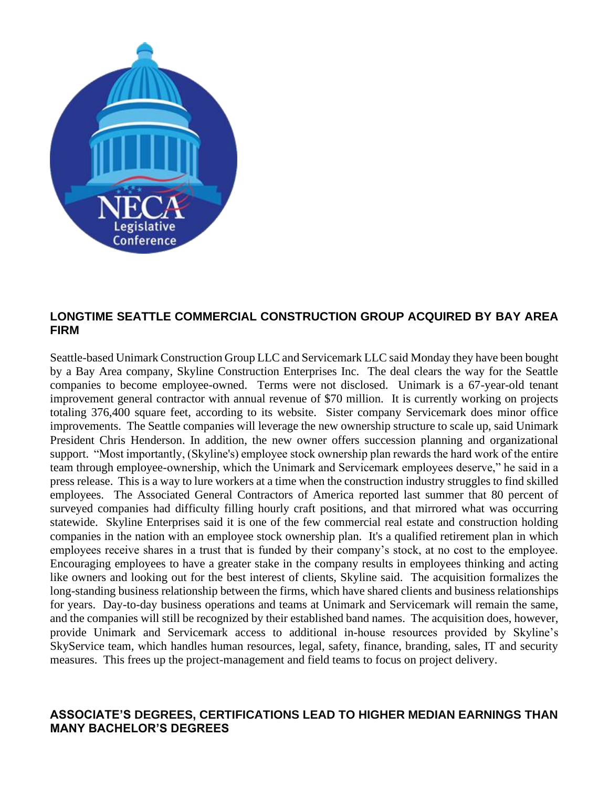

#### **LONGTIME SEATTLE COMMERCIAL CONSTRUCTION GROUP ACQUIRED BY BAY AREA FIRM**

Seattle-based Unimark Construction Group LLC and Servicemark LLC said Monday they have been bought by a Bay Area company, Skyline Construction Enterprises Inc. The deal clears the way for the Seattle companies to become employee-owned. Terms were not disclosed. Unimark is a 67-year-old tenant improvement general contractor with annual revenue of \$70 million. It is currently working on projects totaling 376,400 square feet, according to its website. Sister company Servicemark does minor office improvements. The Seattle companies will leverage the new ownership structure to scale up, said Unimark President Chris Henderson. In addition, the new owner offers succession planning and organizational support. "Most importantly, (Skyline's) employee stock ownership plan rewards the hard work of the entire team through employee-ownership, which the Unimark and Servicemark employees deserve," he said in a press release. This is a way to lure workers at a time when the construction industry struggles to find skilled employees. The Associated General Contractors of America reported last summer that 80 percent of surveyed companies had difficulty filling hourly craft positions, and that mirrored what was occurring statewide. Skyline Enterprises said it is one of the few commercial real estate and construction holding companies in the nation with an employee stock ownership plan. It's a qualified retirement plan in which employees receive shares in a trust that is funded by their company's stock, at no cost to the employee. Encouraging employees to have a greater stake in the company results in employees thinking and acting like owners and looking out for the best interest of clients, Skyline said. The acquisition formalizes the long-standing business relationship between the firms, which have shared clients and business relationships for years. Day-to-day business operations and teams at Unimark and Servicemark will remain the same, and the companies will still be recognized by their established band names. The acquisition does, however, provide Unimark and Servicemark access to additional in-house resources provided by Skyline's SkyService team, which handles human resources, legal, safety, finance, branding, sales, IT and security measures. This frees up the project-management and field teams to focus on project delivery.

#### **ASSOCIATE'S DEGREES, CERTIFICATIONS LEAD TO HIGHER MEDIAN EARNINGS THAN MANY BACHELOR'S DEGREES**